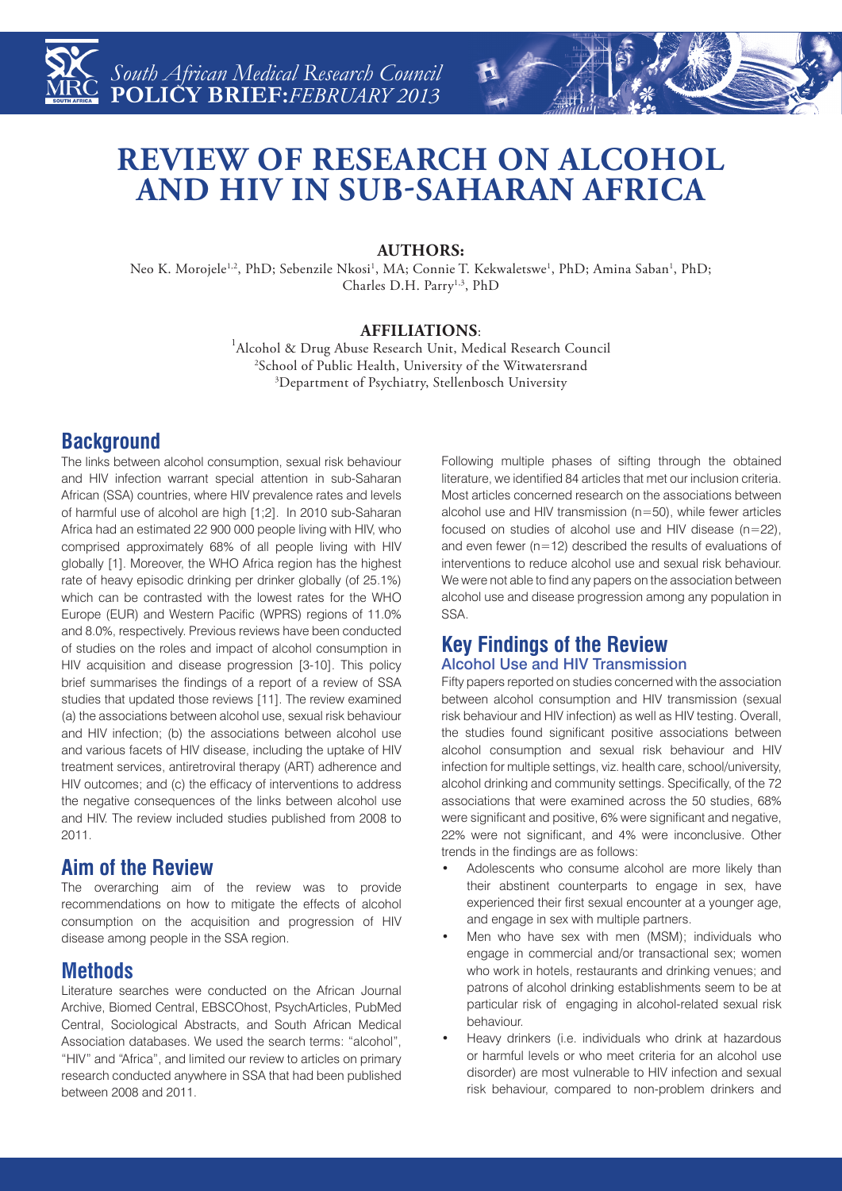

# **REVIEW OF RESEARCH ON ALCOHOL AND HIV IN SUB-SAHARAN AFRICA**

### **AUTHORS:**

Neo K. Morojele<sup>1,2</sup>, PhD; Sebenzile Nkosi<sup>1</sup>, MA; Connie T. Kekwaletswe<sup>1</sup>, PhD; Amina Saban<sup>1</sup>, PhD; Charles D.H. Parry<sup>1,3</sup>, PhD

**AFFILIATIONS:**<br><sup>1</sup>Alcohol & Drug Abuse Research Unit, Medical Research Council 2 School of Public Health, University of the Witwatersrand 3 Department of Psychiatry, Stellenbosch University

# **Background**

The links between alcohol consumption, sexual risk behaviour and HIV infection warrant special attention in sub-Saharan African (SSA) countries, where HIV prevalence rates and levels of harmful use of alcohol are high [1;2]. In 2010 sub-Saharan Africa had an estimated 22 900 000 people living with HIV, who comprised approximately 68% of all people living with HIV globally [1]. Moreover, the WHO Africa region has the highest rate of heavy episodic drinking per drinker globally (of 25.1%) which can be contrasted with the lowest rates for the WHO Europe (EUR) and Western Pacific (WPRS) regions of 11.0% and 8.0%, respectively. Previous reviews have been conducted of studies on the roles and impact of alcohol consumption in HIV acquisition and disease progression [3-10]. This policy brief summarises the findings of a report of a review of SSA studies that updated those reviews [11]. The review examined (a) the associations between alcohol use, sexual risk behaviour and HIV infection; (b) the associations between alcohol use and various facets of HIV disease, including the uptake of HIV treatment services, antiretroviral therapy (ART) adherence and HIV outcomes; and (c) the efficacy of interventions to address the negative consequences of the links between alcohol use and HIV. The review included studies published from 2008 to 2011.

# **Aim of the Review**

The overarching aim of the review was to provide recommendations on how to mitigate the effects of alcohol consumption on the acquisition and progression of HIV disease among people in the SSA region.

# **Methods**

Literature searches were conducted on the African Journal Archive, Biomed Central, EBSCOhost, PsychArticles, PubMed Central, Sociological Abstracts, and South African Medical Association databases. We used the search terms: "alcohol", "HIV" and "Africa", and limited our review to articles on primary research conducted anywhere in SSA that had been published between 2008 and 2011.

Following multiple phases of sifting through the obtained literature, we identified 84 articles that met our inclusion criteria. Most articles concerned research on the associations between alcohol use and HIV transmission (n=50), while fewer articles focused on studies of alcohol use and HIV disease (n=22), and even fewer (n=12) described the results of evaluations of interventions to reduce alcohol use and sexual risk behaviour. We were not able to find any papers on the association between alcohol use and disease progression among any population in SSA.

#### **Key Findings of the Review** Alcohol Use and HIV Transmission

Fifty papers reported on studies concerned with the association between alcohol consumption and HIV transmission (sexual risk behaviour and HIV infection) as well as HIV testing. Overall, the studies found significant positive associations between alcohol consumption and sexual risk behaviour and HIV infection for multiple settings, viz. health care, school/university, alcohol drinking and community settings. Specifically, of the 72 associations that were examined across the 50 studies, 68% were significant and positive, 6% were significant and negative, 22% were not significant, and 4% were inconclusive. Other trends in the findings are as follows:

- Adolescents who consume alcohol are more likely than their abstinent counterparts to engage in sex, have experienced their first sexual encounter at a younger age, and engage in sex with multiple partners.
- Men who have sex with men (MSM); individuals who engage in commercial and/or transactional sex; women who work in hotels, restaurants and drinking venues; and patrons of alcohol drinking establishments seem to be at particular risk of engaging in alcohol-related sexual risk behaviour.
- Heavy drinkers (i.e. individuals who drink at hazardous or harmful levels or who meet criteria for an alcohol use disorder) are most vulnerable to HIV infection and sexual risk behaviour, compared to non-problem drinkers and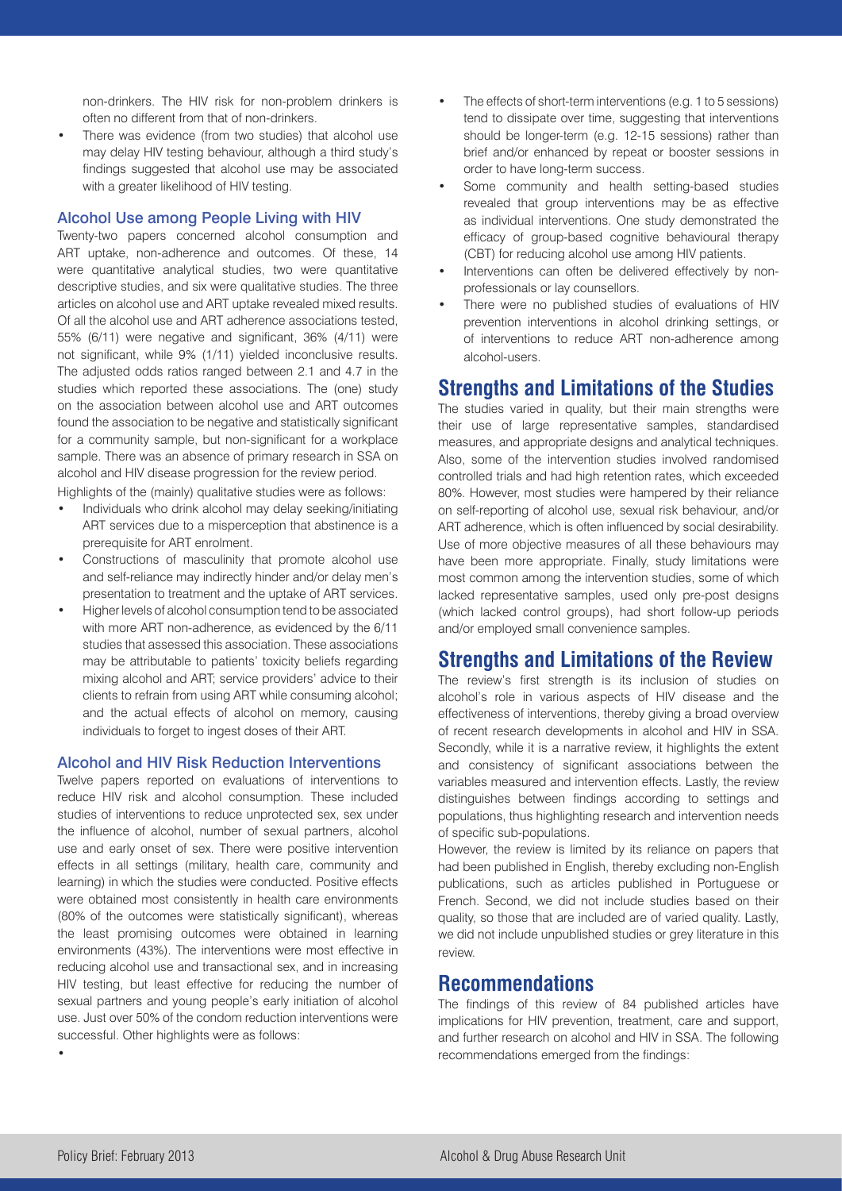non-drinkers. The HIV risk for non-problem drinkers is often no different from that of non-drinkers.

There was evidence (from two studies) that alcohol use may delay HIV testing behaviour, although a third study's findings suggested that alcohol use may be associated with a greater likelihood of HIV testing.

#### Alcohol Use among People Living with HIV

Twenty-two papers concerned alcohol consumption and ART uptake, non-adherence and outcomes. Of these, 14 were quantitative analytical studies, two were quantitative descriptive studies, and six were qualitative studies. The three articles on alcohol use and ART uptake revealed mixed results. Of all the alcohol use and ART adherence associations tested, 55% (6/11) were negative and significant, 36% (4/11) were not significant, while 9% (1/11) yielded inconclusive results. The adjusted odds ratios ranged between 2.1 and 4.7 in the studies which reported these associations. The (one) study on the association between alcohol use and ART outcomes found the association to be negative and statistically significant for a community sample, but non-significant for a workplace sample. There was an absence of primary research in SSA on alcohol and HIV disease progression for the review period. Highlights of the (mainly) qualitative studies were as follows:

- Individuals who drink alcohol may delay seeking/initiating ART services due to a misperception that abstinence is a prerequisite for ART enrolment.
- Constructions of masculinity that promote alcohol use and self-reliance may indirectly hinder and/or delay men's presentation to treatment and the uptake of ART services.
- Higher levels of alcohol consumption tend to be associated with more ART non-adherence, as evidenced by the 6/11 studies that assessed this association. These associations may be attributable to patients' toxicity beliefs regarding mixing alcohol and ART; service providers' advice to their clients to refrain from using ART while consuming alcohol; and the actual effects of alcohol on memory, causing individuals to forget to ingest doses of their ART.

#### Alcohol and HIV Risk Reduction Interventions

Twelve papers reported on evaluations of interventions to reduce HIV risk and alcohol consumption. These included studies of interventions to reduce unprotected sex, sex under the influence of alcohol, number of sexual partners, alcohol use and early onset of sex. There were positive intervention effects in all settings (military, health care, community and learning) in which the studies were conducted. Positive effects were obtained most consistently in health care environments (80% of the outcomes were statistically significant), whereas the least promising outcomes were obtained in learning environments (43%). The interventions were most effective in reducing alcohol use and transactional sex, and in increasing HIV testing, but least effective for reducing the number of sexual partners and young people's early initiation of alcohol use. Just over 50% of the condom reduction interventions were successful. Other highlights were as follows:

- The effects of short-term interventions (e.g. 1 to 5 sessions) tend to dissipate over time, suggesting that interventions should be longer-term (e.g. 12-15 sessions) rather than brief and/or enhanced by repeat or booster sessions in order to have long-term success.
- Some community and health setting-based studies revealed that group interventions may be as effective as individual interventions. One study demonstrated the efficacy of group-based cognitive behavioural therapy (CBT) for reducing alcohol use among HIV patients.
- Interventions can often be delivered effectively by nonprofessionals or lay counsellors.
- There were no published studies of evaluations of HIV prevention interventions in alcohol drinking settings, or of interventions to reduce ART non-adherence among alcohol-users.

### **Strengths and Limitations of the Studies**

The studies varied in quality, but their main strengths were their use of large representative samples, standardised measures, and appropriate designs and analytical techniques. Also, some of the intervention studies involved randomised controlled trials and had high retention rates, which exceeded 80%. However, most studies were hampered by their reliance on self-reporting of alcohol use, sexual risk behaviour, and/or ART adherence, which is often influenced by social desirability. Use of more objective measures of all these behaviours may have been more appropriate. Finally, study limitations were most common among the intervention studies, some of which lacked representative samples, used only pre-post designs (which lacked control groups), had short follow-up periods and/or employed small convenience samples.

## **Strengths and Limitations of the Review**

The review's first strength is its inclusion of studies on alcohol's role in various aspects of HIV disease and the effectiveness of interventions, thereby giving a broad overview of recent research developments in alcohol and HIV in SSA. Secondly, while it is a narrative review, it highlights the extent and consistency of significant associations between the variables measured and intervention effects. Lastly, the review distinguishes between findings according to settings and populations, thus highlighting research and intervention needs of specific sub-populations.

However, the review is limited by its reliance on papers that had been published in English, thereby excluding non-English publications, such as articles published in Portuguese or French. Second, we did not include studies based on their quality, so those that are included are of varied quality. Lastly, we did not include unpublished studies or grey literature in this review.

### **Recommendations**

The findings of this review of 84 published articles have implications for HIV prevention, treatment, care and support, and further research on alcohol and HIV in SSA. The following recommendations emerged from the findings:

•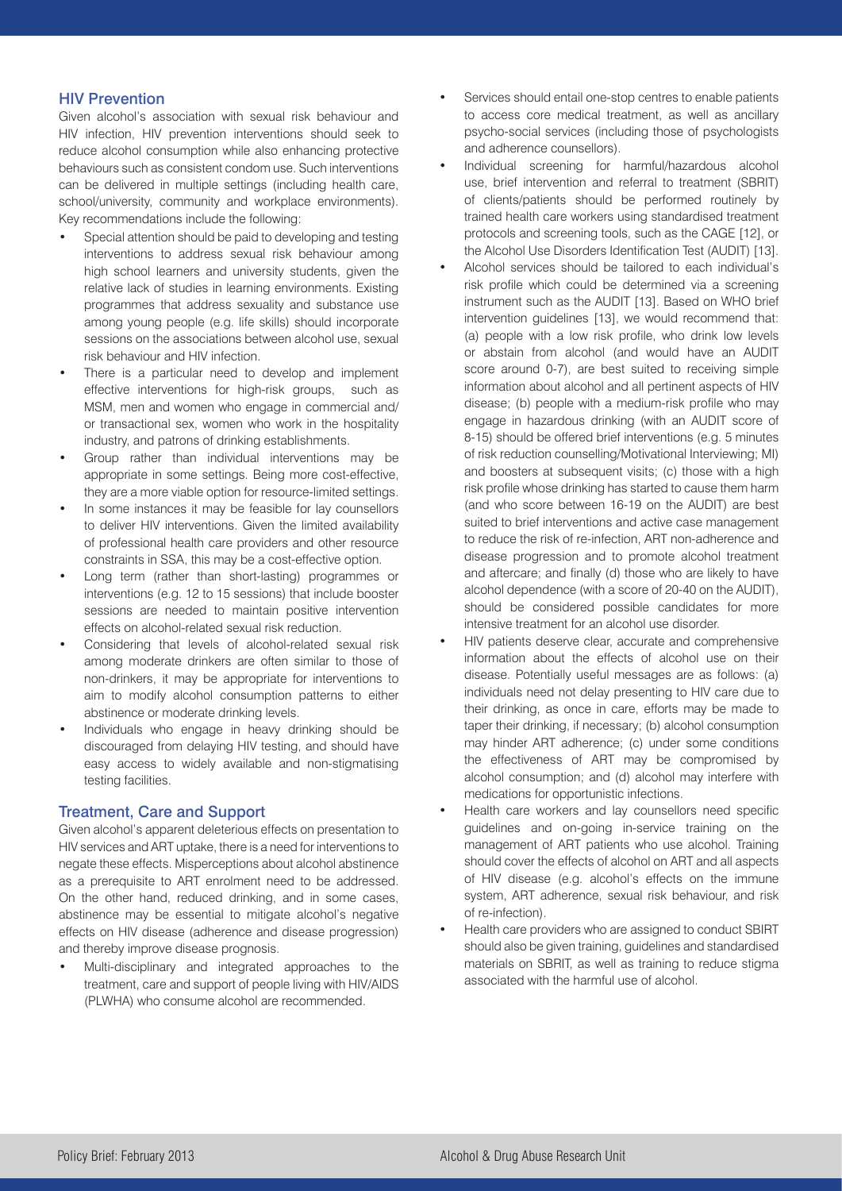#### HIV Prevention

Given alcohol's association with sexual risk behaviour and HIV infection, HIV prevention interventions should seek to reduce alcohol consumption while also enhancing protective behaviours such as consistent condom use. Such interventions can be delivered in multiple settings (including health care, school/university, community and workplace environments). Key recommendations include the following:

- Special attention should be paid to developing and testing interventions to address sexual risk behaviour among high school learners and university students, given the relative lack of studies in learning environments. Existing programmes that address sexuality and substance use among young people (e.g. life skills) should incorporate sessions on the associations between alcohol use, sexual risk behaviour and HIV infection.
- There is a particular need to develop and implement effective interventions for high-risk groups, such as MSM, men and women who engage in commercial and/ or transactional sex, women who work in the hospitality industry, and patrons of drinking establishments.
- Group rather than individual interventions may be appropriate in some settings. Being more cost-effective, they are a more viable option for resource-limited settings.
- In some instances it may be feasible for lay counsellors to deliver HIV interventions. Given the limited availability of professional health care providers and other resource constraints in SSA, this may be a cost-effective option.
- Long term (rather than short-lasting) programmes or interventions (e.g. 12 to 15 sessions) that include booster sessions are needed to maintain positive intervention effects on alcohol-related sexual risk reduction.
- Considering that levels of alcohol-related sexual risk among moderate drinkers are often similar to those of non-drinkers, it may be appropriate for interventions to aim to modify alcohol consumption patterns to either abstinence or moderate drinking levels.
- Individuals who engage in heavy drinking should be discouraged from delaying HIV testing, and should have easy access to widely available and non-stigmatising testing facilities.

#### Treatment, Care and Support

Given alcohol's apparent deleterious effects on presentation to HIV services and ART uptake, there is a need for interventions to negate these effects. Misperceptions about alcohol abstinence as a prerequisite to ART enrolment need to be addressed. On the other hand, reduced drinking, and in some cases, abstinence may be essential to mitigate alcohol's negative effects on HIV disease (adherence and disease progression) and thereby improve disease prognosis.

Multi-disciplinary and integrated approaches to the treatment, care and support of people living with HIV/AIDS (PLWHA) who consume alcohol are recommended.

- Services should entail one-stop centres to enable patients to access core medical treatment, as well as ancillary psycho-social services (including those of psychologists and adherence counsellors).
- Individual screening for harmful/hazardous alcohol use, brief intervention and referral to treatment (SBRIT) of clients/patients should be performed routinely by trained health care workers using standardised treatment protocols and screening tools, such as the CAGE [12], or the Alcohol Use Disorders Identification Test (AUDIT) [13].
- Alcohol services should be tailored to each individual's risk profile which could be determined via a screening instrument such as the AUDIT [13]. Based on WHO brief intervention guidelines [13], we would recommend that: (a) people with a low risk profile, who drink low levels or abstain from alcohol (and would have an AUDIT score around 0-7), are best suited to receiving simple information about alcohol and all pertinent aspects of HIV disease; (b) people with a medium-risk profile who may engage in hazardous drinking (with an AUDIT score of 8-15) should be offered brief interventions (e.g. 5 minutes of risk reduction counselling/Motivational Interviewing; MI) and boosters at subsequent visits; (c) those with a high risk profile whose drinking has started to cause them harm (and who score between 16-19 on the AUDIT) are best suited to brief interventions and active case management to reduce the risk of re-infection, ART non-adherence and disease progression and to promote alcohol treatment and aftercare; and finally (d) those who are likely to have alcohol dependence (with a score of 20-40 on the AUDIT), should be considered possible candidates for more intensive treatment for an alcohol use disorder.
- HIV patients deserve clear, accurate and comprehensive information about the effects of alcohol use on their disease. Potentially useful messages are as follows: (a) individuals need not delay presenting to HIV care due to their drinking, as once in care, efforts may be made to taper their drinking, if necessary; (b) alcohol consumption may hinder ART adherence; (c) under some conditions the effectiveness of ART may be compromised by alcohol consumption; and (d) alcohol may interfere with medications for opportunistic infections.
- Health care workers and lay counsellors need specific guidelines and on-going in-service training on the management of ART patients who use alcohol. Training should cover the effects of alcohol on ART and all aspects of HIV disease (e.g. alcohol's effects on the immune system, ART adherence, sexual risk behaviour, and risk of re-infection).
- Health care providers who are assigned to conduct SBIRT should also be given training, guidelines and standardised materials on SBRIT, as well as training to reduce stigma associated with the harmful use of alcohol.